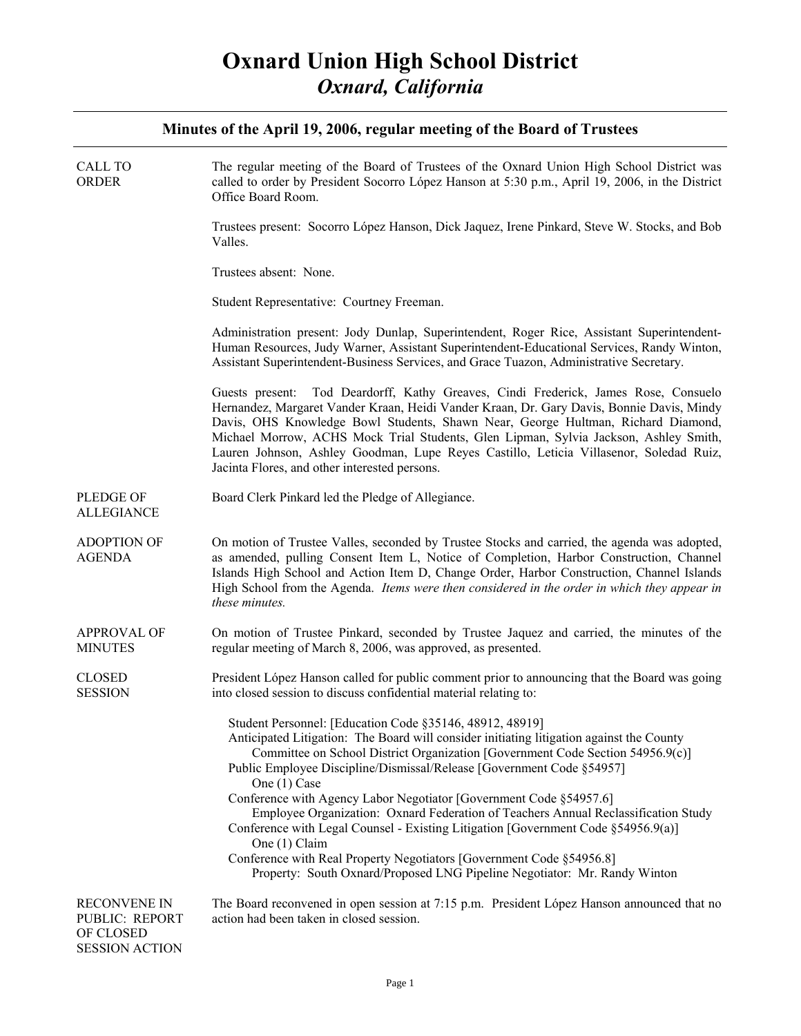| CALL TO<br><b>ORDER</b>                                                     | The regular meeting of the Board of Trustees of the Oxnard Union High School District was<br>called to order by President Socorro López Hanson at 5:30 p.m., April 19, 2006, in the District<br>Office Board Room.                                                                                                                                                                                                                                                                                      |
|-----------------------------------------------------------------------------|---------------------------------------------------------------------------------------------------------------------------------------------------------------------------------------------------------------------------------------------------------------------------------------------------------------------------------------------------------------------------------------------------------------------------------------------------------------------------------------------------------|
|                                                                             | Trustees present: Socorro López Hanson, Dick Jaquez, Irene Pinkard, Steve W. Stocks, and Bob<br>Valles.                                                                                                                                                                                                                                                                                                                                                                                                 |
|                                                                             | Trustees absent: None.                                                                                                                                                                                                                                                                                                                                                                                                                                                                                  |
|                                                                             | Student Representative: Courtney Freeman.                                                                                                                                                                                                                                                                                                                                                                                                                                                               |
|                                                                             | Administration present: Jody Dunlap, Superintendent, Roger Rice, Assistant Superintendent-<br>Human Resources, Judy Warner, Assistant Superintendent-Educational Services, Randy Winton,<br>Assistant Superintendent-Business Services, and Grace Tuazon, Administrative Secretary.                                                                                                                                                                                                                     |
|                                                                             | Guests present: Tod Deardorff, Kathy Greaves, Cindi Frederick, James Rose, Consuelo<br>Hernandez, Margaret Vander Kraan, Heidi Vander Kraan, Dr. Gary Davis, Bonnie Davis, Mindy<br>Davis, OHS Knowledge Bowl Students, Shawn Near, George Hultman, Richard Diamond,<br>Michael Morrow, ACHS Mock Trial Students, Glen Lipman, Sylvia Jackson, Ashley Smith,<br>Lauren Johnson, Ashley Goodman, Lupe Reyes Castillo, Leticia Villasenor, Soledad Ruiz,<br>Jacinta Flores, and other interested persons. |
| PLEDGE OF<br><b>ALLEGIANCE</b>                                              | Board Clerk Pinkard led the Pledge of Allegiance.                                                                                                                                                                                                                                                                                                                                                                                                                                                       |
| <b>ADOPTION OF</b><br><b>AGENDA</b>                                         | On motion of Trustee Valles, seconded by Trustee Stocks and carried, the agenda was adopted,<br>as amended, pulling Consent Item L, Notice of Completion, Harbor Construction, Channel<br>Islands High School and Action Item D, Change Order, Harbor Construction, Channel Islands<br>High School from the Agenda. Items were then considered in the order in which they appear in<br>these minutes.                                                                                                   |
| <b>APPROVAL OF</b><br><b>MINUTES</b>                                        | On motion of Trustee Pinkard, seconded by Trustee Jaquez and carried, the minutes of the<br>regular meeting of March 8, 2006, was approved, as presented.                                                                                                                                                                                                                                                                                                                                               |
| <b>CLOSED</b><br><b>SESSION</b>                                             | President López Hanson called for public comment prior to announcing that the Board was going<br>into closed session to discuss confidential material relating to:                                                                                                                                                                                                                                                                                                                                      |
|                                                                             | Student Personnel: [Education Code §35146, 48912, 48919]<br>Anticipated Litigation: The Board will consider initiating litigation against the County<br>Committee on School District Organization [Government Code Section 54956.9(c)]<br>Public Employee Discipline/Dismissal/Release [Government Code §54957]<br>One (1) Case<br>Conference with Agency Labor Negotiator [Government Code §54957.6]                                                                                                   |
|                                                                             | Employee Organization: Oxnard Federation of Teachers Annual Reclassification Study<br>Conference with Legal Counsel - Existing Litigation [Government Code §54956.9(a)]<br>One (1) Claim                                                                                                                                                                                                                                                                                                                |
|                                                                             | Conference with Real Property Negotiators [Government Code §54956.8]<br>Property: South Oxnard/Proposed LNG Pipeline Negotiator: Mr. Randy Winton                                                                                                                                                                                                                                                                                                                                                       |
| <b>RECONVENE IN</b><br>PUBLIC: REPORT<br>OF CLOSED<br><b>SESSION ACTION</b> | The Board reconvened in open session at 7:15 p.m. President López Hanson announced that no<br>action had been taken in closed session.                                                                                                                                                                                                                                                                                                                                                                  |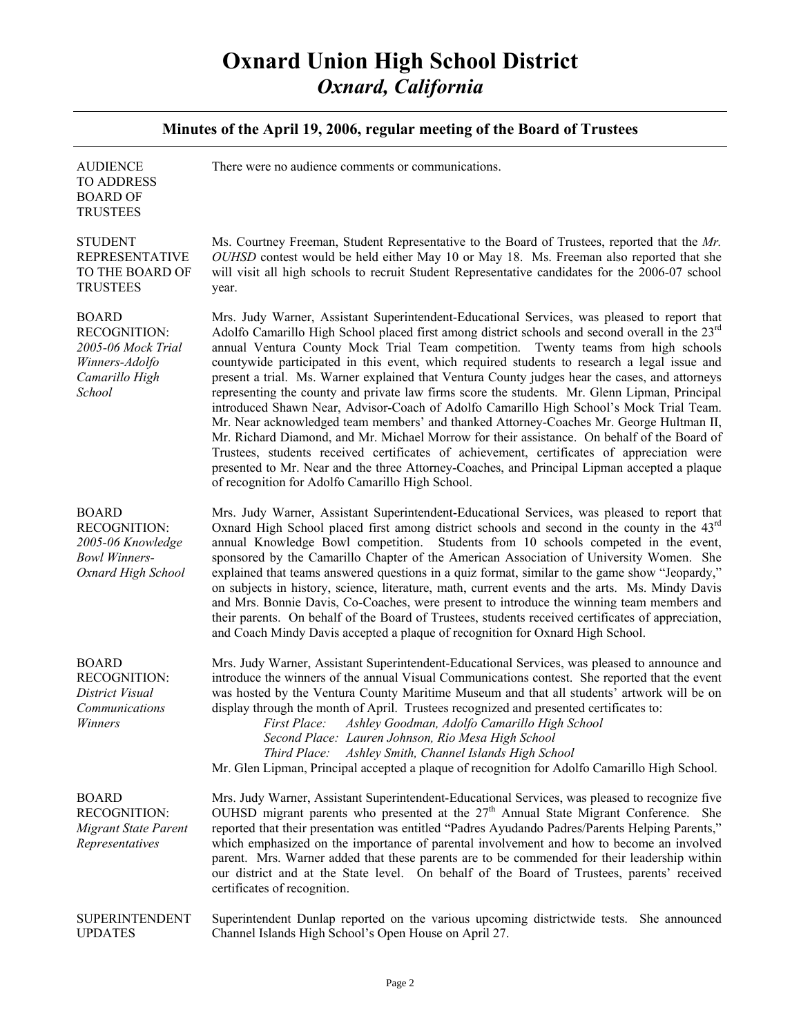| Minutes of the April 19, 2006, regular meeting of the Board of Trustees                                 |                                                                                                                                                                                                                                                                                                                                                                                                                                                                                                                                                                                                                                                                                                                                                                                                                                                                                                                                                                                                                                                                                                                                           |
|---------------------------------------------------------------------------------------------------------|-------------------------------------------------------------------------------------------------------------------------------------------------------------------------------------------------------------------------------------------------------------------------------------------------------------------------------------------------------------------------------------------------------------------------------------------------------------------------------------------------------------------------------------------------------------------------------------------------------------------------------------------------------------------------------------------------------------------------------------------------------------------------------------------------------------------------------------------------------------------------------------------------------------------------------------------------------------------------------------------------------------------------------------------------------------------------------------------------------------------------------------------|
| <b>AUDIENCE</b><br><b>TO ADDRESS</b><br><b>BOARD OF</b><br><b>TRUSTEES</b>                              | There were no audience comments or communications.                                                                                                                                                                                                                                                                                                                                                                                                                                                                                                                                                                                                                                                                                                                                                                                                                                                                                                                                                                                                                                                                                        |
| <b>STUDENT</b><br><b>REPRESENTATIVE</b><br>TO THE BOARD OF<br><b>TRUSTEES</b>                           | Ms. Courtney Freeman, Student Representative to the Board of Trustees, reported that the Mr.<br>OUHSD contest would be held either May 10 or May 18. Ms. Freeman also reported that she<br>will visit all high schools to recruit Student Representative candidates for the 2006-07 school<br>year.                                                                                                                                                                                                                                                                                                                                                                                                                                                                                                                                                                                                                                                                                                                                                                                                                                       |
| <b>BOARD</b><br><b>RECOGNITION:</b><br>2005-06 Mock Trial<br>Winners-Adolfo<br>Camarillo High<br>School | Mrs. Judy Warner, Assistant Superintendent-Educational Services, was pleased to report that<br>Adolfo Camarillo High School placed first among district schools and second overall in the 23 <sup>rd</sup><br>annual Ventura County Mock Trial Team competition. Twenty teams from high schools<br>countywide participated in this event, which required students to research a legal issue and<br>present a trial. Ms. Warner explained that Ventura County judges hear the cases, and attorneys<br>representing the county and private law firms score the students. Mr. Glenn Lipman, Principal<br>introduced Shawn Near, Advisor-Coach of Adolfo Camarillo High School's Mock Trial Team.<br>Mr. Near acknowledged team members' and thanked Attorney-Coaches Mr. George Hultman II,<br>Mr. Richard Diamond, and Mr. Michael Morrow for their assistance. On behalf of the Board of<br>Trustees, students received certificates of achievement, certificates of appreciation were<br>presented to Mr. Near and the three Attorney-Coaches, and Principal Lipman accepted a plaque<br>of recognition for Adolfo Camarillo High School. |
| <b>BOARD</b><br><b>RECOGNITION:</b><br>2005-06 Knowledge<br><b>Bowl Winners-</b><br>Oxnard High School  | Mrs. Judy Warner, Assistant Superintendent-Educational Services, was pleased to report that<br>Oxnard High School placed first among district schools and second in the county in the 43 <sup>rd</sup><br>annual Knowledge Bowl competition. Students from 10 schools competed in the event,<br>sponsored by the Camarillo Chapter of the American Association of University Women. She<br>explained that teams answered questions in a quiz format, similar to the game show "Jeopardy,"<br>on subjects in history, science, literature, math, current events and the arts. Ms. Mindy Davis<br>and Mrs. Bonnie Davis, Co-Coaches, were present to introduce the winning team members and<br>their parents. On behalf of the Board of Trustees, students received certificates of appreciation,<br>and Coach Mindy Davis accepted a plaque of recognition for Oxnard High School.                                                                                                                                                                                                                                                         |
| <b>BOARD</b><br><b>RECOGNITION:</b><br>District Visual<br><b>Communications</b><br>Winners              | Mrs. Judy Warner, Assistant Superintendent-Educational Services, was pleased to announce and<br>introduce the winners of the annual Visual Communications contest. She reported that the event<br>was hosted by the Ventura County Maritime Museum and that all students' artwork will be on<br>display through the month of April. Trustees recognized and presented certificates to:<br>Ashley Goodman, Adolfo Camarillo High School<br>First Place:<br>Second Place: Lauren Johnson, Rio Mesa High School<br>Third Place: Ashley Smith, Channel Islands High School<br>Mr. Glen Lipman, Principal accepted a plaque of recognition for Adolfo Camarillo High School.                                                                                                                                                                                                                                                                                                                                                                                                                                                                   |
| <b>BOARD</b><br><b>RECOGNITION:</b><br><b>Migrant State Parent</b><br>Representatives                   | Mrs. Judy Warner, Assistant Superintendent-Educational Services, was pleased to recognize five<br>OUHSD migrant parents who presented at the $27th$ Annual State Migrant Conference. She<br>reported that their presentation was entitled "Padres Ayudando Padres/Parents Helping Parents,"<br>which emphasized on the importance of parental involvement and how to become an involved<br>parent. Mrs. Warner added that these parents are to be commended for their leadership within<br>our district and at the State level. On behalf of the Board of Trustees, parents' received<br>certificates of recognition.                                                                                                                                                                                                                                                                                                                                                                                                                                                                                                                     |
| <b>SUPERINTENDENT</b><br><b>UPDATES</b>                                                                 | Superintendent Dunlap reported on the various upcoming districtwide tests. She announced<br>Channel Islands High School's Open House on April 27.                                                                                                                                                                                                                                                                                                                                                                                                                                                                                                                                                                                                                                                                                                                                                                                                                                                                                                                                                                                         |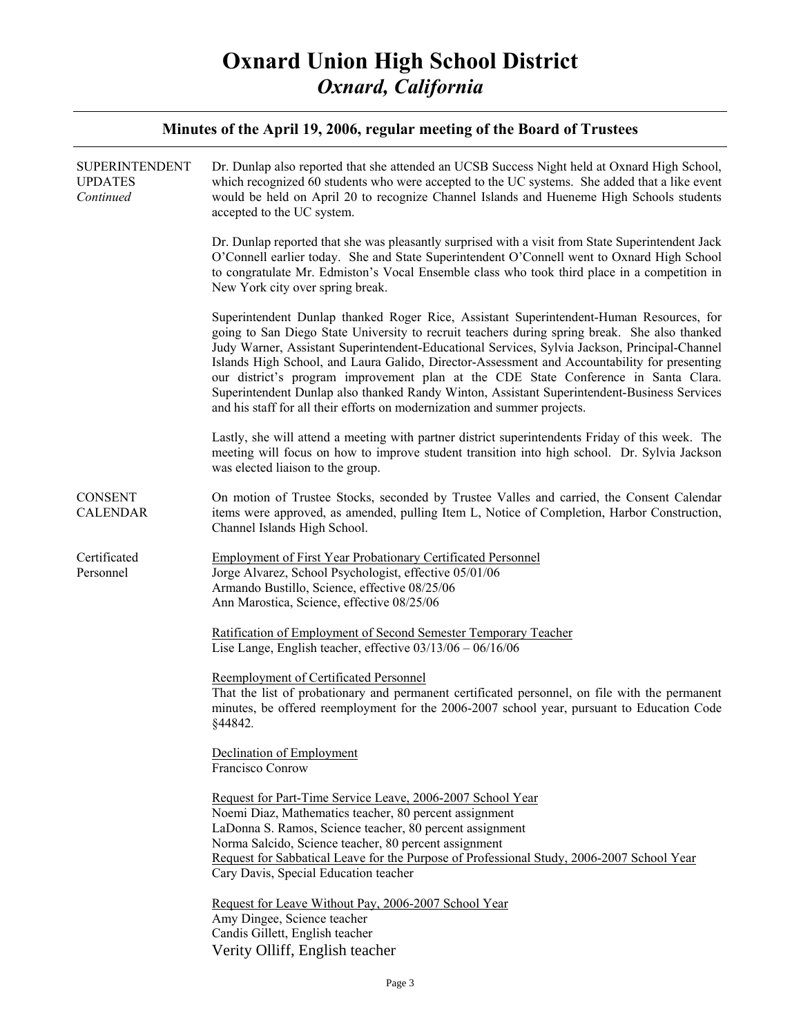| <b>SUPERINTENDENT</b><br><b>UPDATES</b><br>Continued | Dr. Dunlap also reported that she attended an UCSB Success Night held at Oxnard High School,<br>which recognized 60 students who were accepted to the UC systems. She added that a like event<br>would be held on April 20 to recognize Channel Islands and Hueneme High Schools students<br>accepted to the UC system.                                                                                                                                                                                                                                                                                                                                      |
|------------------------------------------------------|--------------------------------------------------------------------------------------------------------------------------------------------------------------------------------------------------------------------------------------------------------------------------------------------------------------------------------------------------------------------------------------------------------------------------------------------------------------------------------------------------------------------------------------------------------------------------------------------------------------------------------------------------------------|
|                                                      | Dr. Dunlap reported that she was pleasantly surprised with a visit from State Superintendent Jack<br>O'Connell earlier today. She and State Superintendent O'Connell went to Oxnard High School<br>to congratulate Mr. Edmiston's Vocal Ensemble class who took third place in a competition in<br>New York city over spring break.                                                                                                                                                                                                                                                                                                                          |
|                                                      | Superintendent Dunlap thanked Roger Rice, Assistant Superintendent-Human Resources, for<br>going to San Diego State University to recruit teachers during spring break. She also thanked<br>Judy Warner, Assistant Superintendent-Educational Services, Sylvia Jackson, Principal-Channel<br>Islands High School, and Laura Galido, Director-Assessment and Accountability for presenting<br>our district's program improvement plan at the CDE State Conference in Santa Clara.<br>Superintendent Dunlap also thanked Randy Winton, Assistant Superintendent-Business Services<br>and his staff for all their efforts on modernization and summer projects. |
|                                                      | Lastly, she will attend a meeting with partner district superintendents Friday of this week. The<br>meeting will focus on how to improve student transition into high school. Dr. Sylvia Jackson<br>was elected liaison to the group.                                                                                                                                                                                                                                                                                                                                                                                                                        |
| <b>CONSENT</b><br><b>CALENDAR</b>                    | On motion of Trustee Stocks, seconded by Trustee Valles and carried, the Consent Calendar<br>items were approved, as amended, pulling Item L, Notice of Completion, Harbor Construction,<br>Channel Islands High School.                                                                                                                                                                                                                                                                                                                                                                                                                                     |
| Certificated<br>Personnel                            | <b>Employment of First Year Probationary Certificated Personnel</b><br>Jorge Alvarez, School Psychologist, effective 05/01/06<br>Armando Bustillo, Science, effective 08/25/06<br>Ann Marostica, Science, effective 08/25/06                                                                                                                                                                                                                                                                                                                                                                                                                                 |
|                                                      | Ratification of Employment of Second Semester Temporary Teacher<br>Lise Lange, English teacher, effective $03/13/06 - 06/16/06$                                                                                                                                                                                                                                                                                                                                                                                                                                                                                                                              |
|                                                      | Reemployment of Certificated Personnel<br>That the list of probationary and permanent certificated personnel, on file with the permanent<br>minutes, be offered reemployment for the 2006-2007 school year, pursuant to Education Code<br>§44842.                                                                                                                                                                                                                                                                                                                                                                                                            |
|                                                      | Declination of Employment<br>Francisco Conrow                                                                                                                                                                                                                                                                                                                                                                                                                                                                                                                                                                                                                |
|                                                      | Request for Part-Time Service Leave, 2006-2007 School Year<br>Noemi Diaz, Mathematics teacher, 80 percent assignment<br>LaDonna S. Ramos, Science teacher, 80 percent assignment<br>Norma Salcido, Science teacher, 80 percent assignment<br>Request for Sabbatical Leave for the Purpose of Professional Study, 2006-2007 School Year<br>Cary Davis, Special Education teacher                                                                                                                                                                                                                                                                              |
|                                                      | Request for Leave Without Pay, 2006-2007 School Year<br>Amy Dingee, Science teacher<br>Candis Gillett, English teacher<br>Verity Olliff, English teacher                                                                                                                                                                                                                                                                                                                                                                                                                                                                                                     |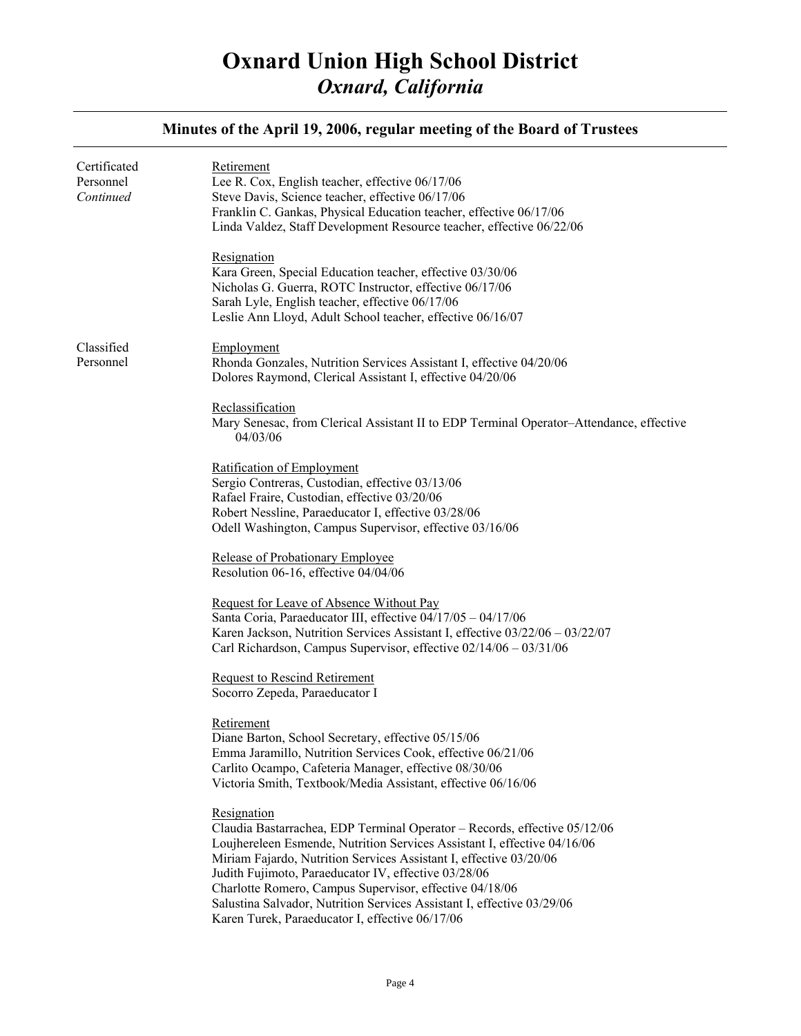| Certificated<br>Personnel<br>Continued | Retirement<br>Lee R. Cox, English teacher, effective 06/17/06<br>Steve Davis, Science teacher, effective 06/17/06<br>Franklin C. Gankas, Physical Education teacher, effective 06/17/06<br>Linda Valdez, Staff Development Resource teacher, effective 06/22/06<br>Resignation<br>Kara Green, Special Education teacher, effective 03/30/06<br>Nicholas G. Guerra, ROTC Instructor, effective 06/17/06<br>Sarah Lyle, English teacher, effective 06/17/06<br>Leslie Ann Lloyd, Adult School teacher, effective 06/16/07 |
|----------------------------------------|-------------------------------------------------------------------------------------------------------------------------------------------------------------------------------------------------------------------------------------------------------------------------------------------------------------------------------------------------------------------------------------------------------------------------------------------------------------------------------------------------------------------------|
| Classified<br>Personnel                | Employment<br>Rhonda Gonzales, Nutrition Services Assistant I, effective 04/20/06<br>Dolores Raymond, Clerical Assistant I, effective 04/20/06<br>Reclassification<br>Mary Senesac, from Clerical Assistant II to EDP Terminal Operator-Attendance, effective<br>04/03/06                                                                                                                                                                                                                                               |
|                                        | Ratification of Employment<br>Sergio Contreras, Custodian, effective 03/13/06<br>Rafael Fraire, Custodian, effective 03/20/06<br>Robert Nessline, Paraeducator I, effective 03/28/06<br>Odell Washington, Campus Supervisor, effective 03/16/06<br>Release of Probationary Employee<br>Resolution 06-16, effective 04/04/06                                                                                                                                                                                             |
|                                        | Request for Leave of Absence Without Pay<br>Santa Coria, Paraeducator III, effective 04/17/05 - 04/17/06<br>Karen Jackson, Nutrition Services Assistant I, effective 03/22/06 - 03/22/07<br>Carl Richardson, Campus Supervisor, effective 02/14/06 - 03/31/06<br><b>Request to Rescind Retirement</b><br>Socorro Zepeda, Paraeducator I                                                                                                                                                                                 |
|                                        | Retirement<br>Diane Barton, School Secretary, effective 05/15/06<br>Emma Jaramillo, Nutrition Services Cook, effective 06/21/06<br>Carlito Ocampo, Cafeteria Manager, effective 08/30/06<br>Victoria Smith, Textbook/Media Assistant, effective 06/16/06                                                                                                                                                                                                                                                                |
|                                        | Resignation<br>Claudia Bastarrachea, EDP Terminal Operator - Records, effective 05/12/06<br>Loujhereleen Esmende, Nutrition Services Assistant I, effective 04/16/06<br>Miriam Fajardo, Nutrition Services Assistant I, effective 03/20/06<br>Judith Fujimoto, Paraeducator IV, effective 03/28/06<br>Charlotte Romero, Campus Supervisor, effective 04/18/06<br>Salustina Salvador, Nutrition Services Assistant I, effective 03/29/06<br>Karen Turek, Paraeducator I, effective 06/17/06                              |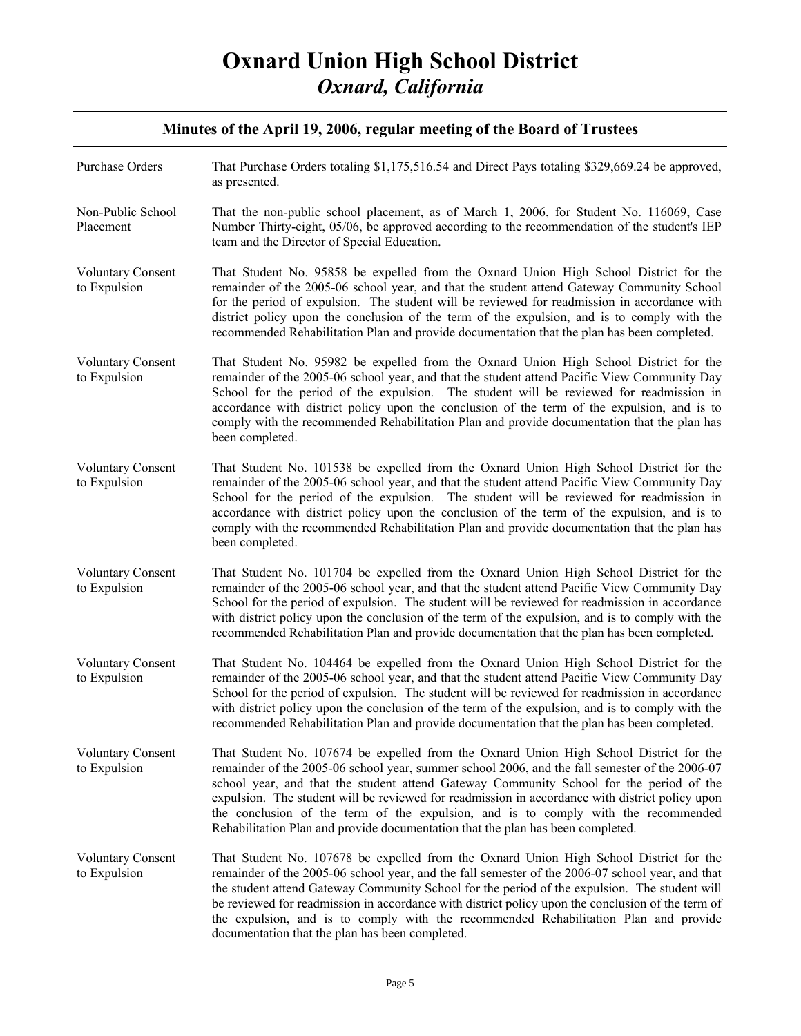| Purchase Orders                          | That Purchase Orders totaling \$1,175,516.54 and Direct Pays totaling \$329,669.24 be approved,<br>as presented.                                                                                                                                                                                                                                                                                                                                                                                                                                                |
|------------------------------------------|-----------------------------------------------------------------------------------------------------------------------------------------------------------------------------------------------------------------------------------------------------------------------------------------------------------------------------------------------------------------------------------------------------------------------------------------------------------------------------------------------------------------------------------------------------------------|
| Non-Public School<br>Placement           | That the non-public school placement, as of March 1, 2006, for Student No. 116069, Case<br>Number Thirty-eight, 05/06, be approved according to the recommendation of the student's IEP<br>team and the Director of Special Education.                                                                                                                                                                                                                                                                                                                          |
| <b>Voluntary Consent</b><br>to Expulsion | That Student No. 95858 be expelled from the Oxnard Union High School District for the<br>remainder of the 2005-06 school year, and that the student attend Gateway Community School<br>for the period of expulsion. The student will be reviewed for readmission in accordance with<br>district policy upon the conclusion of the term of the expulsion, and is to comply with the<br>recommended Rehabilitation Plan and provide documentation that the plan has been completed.                                                                               |
| <b>Voluntary Consent</b><br>to Expulsion | That Student No. 95982 be expelled from the Oxnard Union High School District for the<br>remainder of the 2005-06 school year, and that the student attend Pacific View Community Day<br>School for the period of the expulsion. The student will be reviewed for readmission in<br>accordance with district policy upon the conclusion of the term of the expulsion, and is to<br>comply with the recommended Rehabilitation Plan and provide documentation that the plan has<br>been completed.                                                               |
| <b>Voluntary Consent</b><br>to Expulsion | That Student No. 101538 be expelled from the Oxnard Union High School District for the<br>remainder of the 2005-06 school year, and that the student attend Pacific View Community Day<br>School for the period of the expulsion. The student will be reviewed for readmission in<br>accordance with district policy upon the conclusion of the term of the expulsion, and is to<br>comply with the recommended Rehabilitation Plan and provide documentation that the plan has<br>been completed.                                                              |
| <b>Voluntary Consent</b><br>to Expulsion | That Student No. 101704 be expelled from the Oxnard Union High School District for the<br>remainder of the 2005-06 school year, and that the student attend Pacific View Community Day<br>School for the period of expulsion. The student will be reviewed for readmission in accordance<br>with district policy upon the conclusion of the term of the expulsion, and is to comply with the<br>recommended Rehabilitation Plan and provide documentation that the plan has been completed.                                                                     |
| <b>Voluntary Consent</b><br>to Expulsion | That Student No. 104464 be expelled from the Oxnard Union High School District for the<br>remainder of the 2005-06 school year, and that the student attend Pacific View Community Day<br>School for the period of expulsion. The student will be reviewed for readmission in accordance<br>with district policy upon the conclusion of the term of the expulsion, and is to comply with the<br>recommended Rehabilitation Plan and provide documentation that the plan has been completed.                                                                     |
| <b>Voluntary Consent</b><br>to Expulsion | That Student No. 107674 be expelled from the Oxnard Union High School District for the<br>remainder of the 2005-06 school year, summer school 2006, and the fall semester of the 2006-07<br>school year, and that the student attend Gateway Community School for the period of the<br>expulsion. The student will be reviewed for readmission in accordance with district policy upon<br>the conclusion of the term of the expulsion, and is to comply with the recommended<br>Rehabilitation Plan and provide documentation that the plan has been completed. |
| <b>Voluntary Consent</b><br>to Expulsion | That Student No. 107678 be expelled from the Oxnard Union High School District for the<br>remainder of the 2005-06 school year, and the fall semester of the 2006-07 school year, and that<br>the student attend Gateway Community School for the period of the expulsion. The student will<br>be reviewed for readmission in accordance with district policy upon the conclusion of the term of<br>the expulsion, and is to comply with the recommended Rehabilitation Plan and provide<br>documentation that the plan has been completed.                     |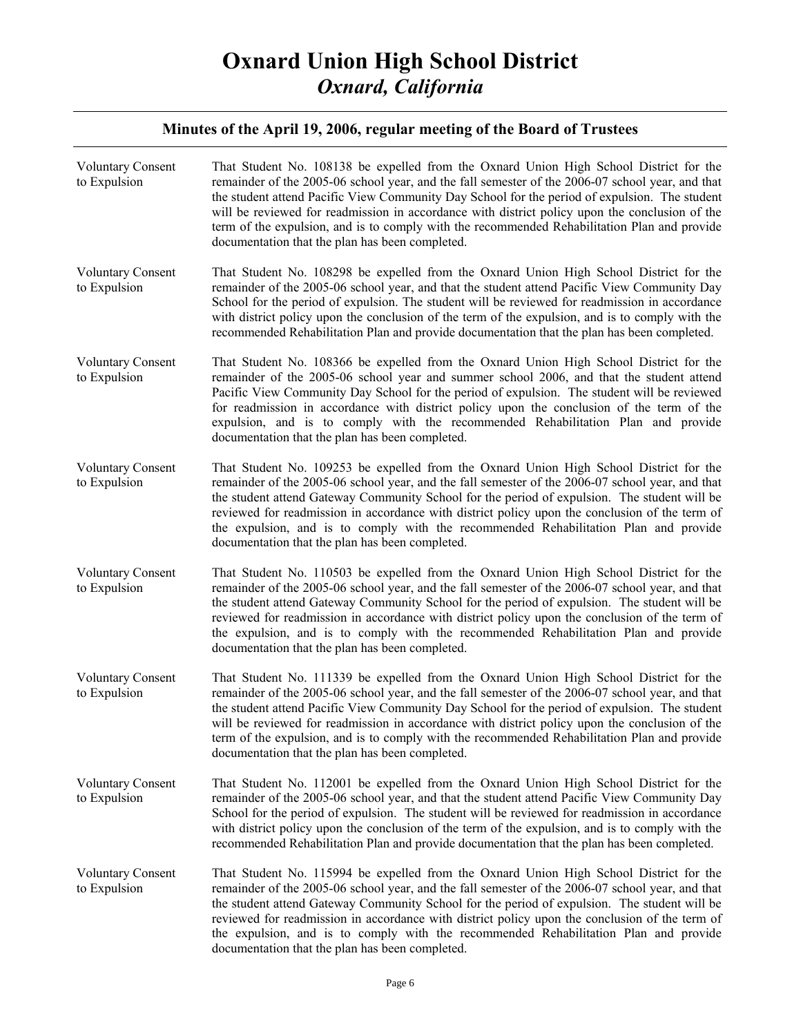| <b>Voluntary Consent</b><br>to Expulsion | That Student No. 108138 be expelled from the Oxnard Union High School District for the<br>remainder of the 2005-06 school year, and the fall semester of the 2006-07 school year, and that<br>the student attend Pacific View Community Day School for the period of expulsion. The student<br>will be reviewed for readmission in accordance with district policy upon the conclusion of the<br>term of the expulsion, and is to comply with the recommended Rehabilitation Plan and provide<br>documentation that the plan has been completed. |
|------------------------------------------|--------------------------------------------------------------------------------------------------------------------------------------------------------------------------------------------------------------------------------------------------------------------------------------------------------------------------------------------------------------------------------------------------------------------------------------------------------------------------------------------------------------------------------------------------|
| <b>Voluntary Consent</b><br>to Expulsion | That Student No. 108298 be expelled from the Oxnard Union High School District for the<br>remainder of the 2005-06 school year, and that the student attend Pacific View Community Day<br>School for the period of expulsion. The student will be reviewed for readmission in accordance<br>with district policy upon the conclusion of the term of the expulsion, and is to comply with the<br>recommended Rehabilitation Plan and provide documentation that the plan has been completed.                                                      |
| <b>Voluntary Consent</b><br>to Expulsion | That Student No. 108366 be expelled from the Oxnard Union High School District for the<br>remainder of the 2005-06 school year and summer school 2006, and that the student attend<br>Pacific View Community Day School for the period of expulsion. The student will be reviewed<br>for readmission in accordance with district policy upon the conclusion of the term of the<br>expulsion, and is to comply with the recommended Rehabilitation Plan and provide<br>documentation that the plan has been completed.                            |
| <b>Voluntary Consent</b><br>to Expulsion | That Student No. 109253 be expelled from the Oxnard Union High School District for the<br>remainder of the 2005-06 school year, and the fall semester of the 2006-07 school year, and that<br>the student attend Gateway Community School for the period of expulsion. The student will be<br>reviewed for readmission in accordance with district policy upon the conclusion of the term of<br>the expulsion, and is to comply with the recommended Rehabilitation Plan and provide<br>documentation that the plan has been completed.          |
| <b>Voluntary Consent</b><br>to Expulsion | That Student No. 110503 be expelled from the Oxnard Union High School District for the<br>remainder of the 2005-06 school year, and the fall semester of the 2006-07 school year, and that<br>the student attend Gateway Community School for the period of expulsion. The student will be<br>reviewed for readmission in accordance with district policy upon the conclusion of the term of<br>the expulsion, and is to comply with the recommended Rehabilitation Plan and provide<br>documentation that the plan has been completed.          |
| <b>Voluntary Consent</b><br>to Expulsion | That Student No. 111339 be expelled from the Oxnard Union High School District for the<br>remainder of the 2005-06 school year, and the fall semester of the 2006-07 school year, and that<br>the student attend Pacific View Community Day School for the period of expulsion. The student<br>will be reviewed for readmission in accordance with district policy upon the conclusion of the<br>term of the expulsion, and is to comply with the recommended Rehabilitation Plan and provide<br>documentation that the plan has been completed. |
| <b>Voluntary Consent</b><br>to Expulsion | That Student No. 112001 be expelled from the Oxnard Union High School District for the<br>remainder of the 2005-06 school year, and that the student attend Pacific View Community Day<br>School for the period of expulsion. The student will be reviewed for readmission in accordance<br>with district policy upon the conclusion of the term of the expulsion, and is to comply with the<br>recommended Rehabilitation Plan and provide documentation that the plan has been completed.                                                      |
| <b>Voluntary Consent</b><br>to Expulsion | That Student No. 115994 be expelled from the Oxnard Union High School District for the<br>remainder of the 2005-06 school year, and the fall semester of the 2006-07 school year, and that<br>the student attend Gateway Community School for the period of expulsion. The student will be<br>reviewed for readmission in accordance with district policy upon the conclusion of the term of<br>the expulsion, and is to comply with the recommended Rehabilitation Plan and provide<br>documentation that the plan has been completed.          |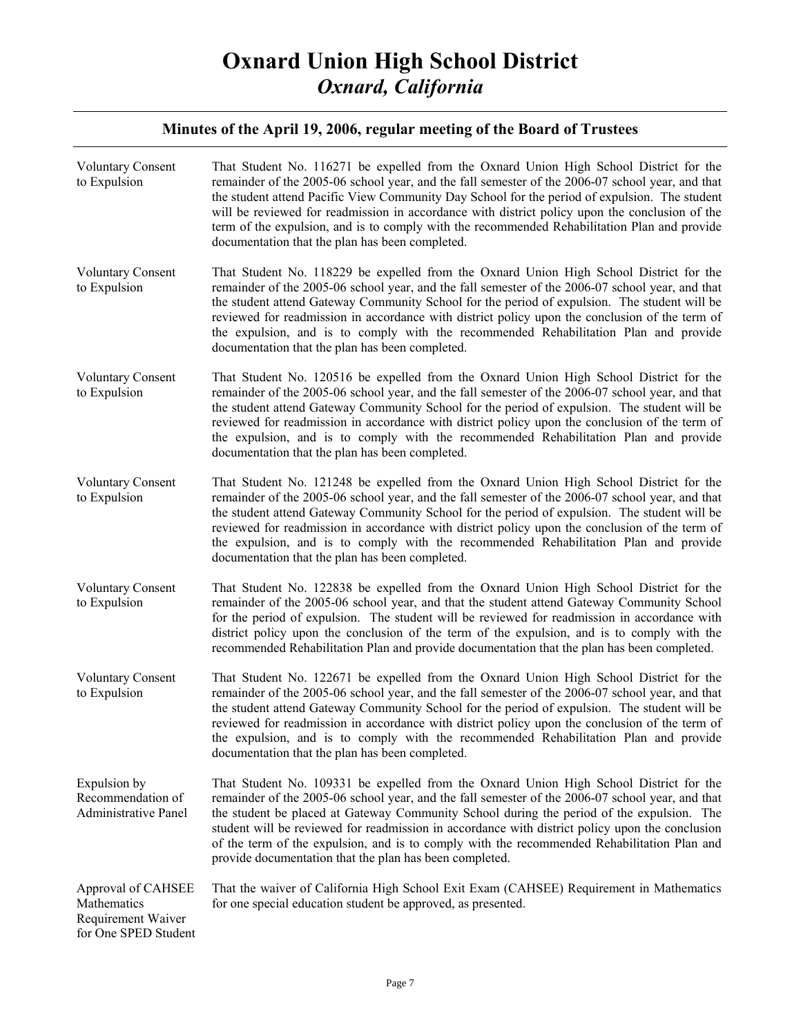| <b>Voluntary Consent</b><br>to Expulsion                                        | That Student No. 116271 be expelled from the Oxnard Union High School District for the<br>remainder of the 2005-06 school year, and the fall semester of the 2006-07 school year, and that<br>the student attend Pacific View Community Day School for the period of expulsion. The student<br>will be reviewed for readmission in accordance with district policy upon the conclusion of the<br>term of the expulsion, and is to comply with the recommended Rehabilitation Plan and provide<br>documentation that the plan has been completed.     |
|---------------------------------------------------------------------------------|------------------------------------------------------------------------------------------------------------------------------------------------------------------------------------------------------------------------------------------------------------------------------------------------------------------------------------------------------------------------------------------------------------------------------------------------------------------------------------------------------------------------------------------------------|
| <b>Voluntary Consent</b><br>to Expulsion                                        | That Student No. 118229 be expelled from the Oxnard Union High School District for the<br>remainder of the 2005-06 school year, and the fall semester of the 2006-07 school year, and that<br>the student attend Gateway Community School for the period of expulsion. The student will be<br>reviewed for readmission in accordance with district policy upon the conclusion of the term of<br>the expulsion, and is to comply with the recommended Rehabilitation Plan and provide<br>documentation that the plan has been completed.              |
| <b>Voluntary Consent</b><br>to Expulsion                                        | That Student No. 120516 be expelled from the Oxnard Union High School District for the<br>remainder of the 2005-06 school year, and the fall semester of the 2006-07 school year, and that<br>the student attend Gateway Community School for the period of expulsion. The student will be<br>reviewed for readmission in accordance with district policy upon the conclusion of the term of<br>the expulsion, and is to comply with the recommended Rehabilitation Plan and provide<br>documentation that the plan has been completed.              |
| <b>Voluntary Consent</b><br>to Expulsion                                        | That Student No. 121248 be expelled from the Oxnard Union High School District for the<br>remainder of the 2005-06 school year, and the fall semester of the 2006-07 school year, and that<br>the student attend Gateway Community School for the period of expulsion. The student will be<br>reviewed for readmission in accordance with district policy upon the conclusion of the term of<br>the expulsion, and is to comply with the recommended Rehabilitation Plan and provide<br>documentation that the plan has been completed.              |
| <b>Voluntary Consent</b><br>to Expulsion                                        | That Student No. 122838 be expelled from the Oxnard Union High School District for the<br>remainder of the 2005-06 school year, and that the student attend Gateway Community School<br>for the period of expulsion. The student will be reviewed for readmission in accordance with<br>district policy upon the conclusion of the term of the expulsion, and is to comply with the<br>recommended Rehabilitation Plan and provide documentation that the plan has been completed.                                                                   |
| <b>Voluntary Consent</b><br>to Expulsion                                        | That Student No. 122671 be expelled from the Oxnard Union High School District for the<br>remainder of the 2005-06 school year, and the fall semester of the 2006-07 school year, and that<br>the student attend Gateway Community School for the period of expulsion. The student will be<br>reviewed for readmission in accordance with district policy upon the conclusion of the term of<br>the expulsion, and is to comply with the recommended Rehabilitation Plan and provide<br>documentation that the plan has been completed.              |
| Expulsion by<br>Recommendation of<br><b>Administrative Panel</b>                | That Student No. 109331 be expelled from the Oxnard Union High School District for the<br>remainder of the 2005-06 school year, and the fall semester of the 2006-07 school year, and that<br>the student be placed at Gateway Community School during the period of the expulsion. The<br>student will be reviewed for readmission in accordance with district policy upon the conclusion<br>of the term of the expulsion, and is to comply with the recommended Rehabilitation Plan and<br>provide documentation that the plan has been completed. |
| Approval of CAHSEE<br>Mathematics<br>Requirement Waiver<br>for One SPED Student | That the waiver of California High School Exit Exam (CAHSEE) Requirement in Mathematics<br>for one special education student be approved, as presented.                                                                                                                                                                                                                                                                                                                                                                                              |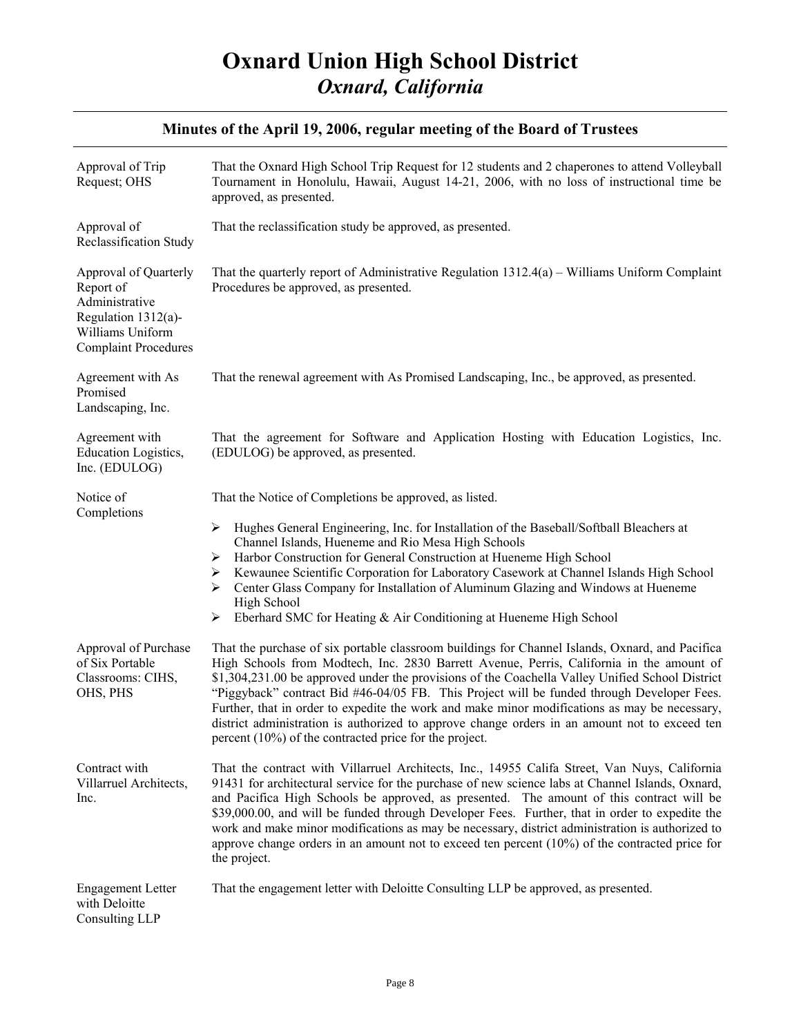| Approval of Trip<br>Request; OHS                                                                                               | That the Oxnard High School Trip Request for 12 students and 2 chaperones to attend Volleyball<br>Tournament in Honolulu, Hawaii, August 14-21, 2006, with no loss of instructional time be<br>approved, as presented.                                                                                                                                                                                                                                                                                                                                                                                                                                      |
|--------------------------------------------------------------------------------------------------------------------------------|-------------------------------------------------------------------------------------------------------------------------------------------------------------------------------------------------------------------------------------------------------------------------------------------------------------------------------------------------------------------------------------------------------------------------------------------------------------------------------------------------------------------------------------------------------------------------------------------------------------------------------------------------------------|
| Approval of<br>Reclassification Study                                                                                          | That the reclassification study be approved, as presented.                                                                                                                                                                                                                                                                                                                                                                                                                                                                                                                                                                                                  |
| Approval of Quarterly<br>Report of<br>Administrative<br>Regulation 1312(a)-<br>Williams Uniform<br><b>Complaint Procedures</b> | That the quarterly report of Administrative Regulation $1312.4(a)$ – Williams Uniform Complaint<br>Procedures be approved, as presented.                                                                                                                                                                                                                                                                                                                                                                                                                                                                                                                    |
| Agreement with As<br>Promised<br>Landscaping, Inc.                                                                             | That the renewal agreement with As Promised Landscaping, Inc., be approved, as presented.                                                                                                                                                                                                                                                                                                                                                                                                                                                                                                                                                                   |
| Agreement with<br>Education Logistics,<br>Inc. (EDULOG)                                                                        | That the agreement for Software and Application Hosting with Education Logistics, Inc.<br>(EDULOG) be approved, as presented.                                                                                                                                                                                                                                                                                                                                                                                                                                                                                                                               |
| Notice of                                                                                                                      | That the Notice of Completions be approved, as listed.                                                                                                                                                                                                                                                                                                                                                                                                                                                                                                                                                                                                      |
| Completions                                                                                                                    | Hughes General Engineering, Inc. for Installation of the Baseball/Softball Bleachers at<br>➤<br>Channel Islands, Hueneme and Rio Mesa High Schools<br>Harbor Construction for General Construction at Hueneme High School<br>➤<br>Kewaunee Scientific Corporation for Laboratory Casework at Channel Islands High School<br>➤<br>Center Glass Company for Installation of Aluminum Glazing and Windows at Hueneme<br>≻<br>High School<br>Eberhard SMC for Heating & Air Conditioning at Hueneme High School<br>➤                                                                                                                                            |
| Approval of Purchase<br>of Six Portable<br>Classrooms: CIHS,<br>OHS, PHS                                                       | That the purchase of six portable classroom buildings for Channel Islands, Oxnard, and Pacifica<br>High Schools from Modtech, Inc. 2830 Barrett Avenue, Perris, California in the amount of<br>\$1,304,231.00 be approved under the provisions of the Coachella Valley Unified School District<br>"Piggyback" contract Bid #46-04/05 FB. This Project will be funded through Developer Fees.<br>Further, that in order to expedite the work and make minor modifications as may be necessary,<br>district administration is authorized to approve change orders in an amount not to exceed ten<br>percent $(10\%)$ of the contracted price for the project. |
| Contract with<br>Villarruel Architects,<br>Inc.                                                                                | That the contract with Villarruel Architects, Inc., 14955 Califa Street, Van Nuys, California<br>91431 for architectural service for the purchase of new science labs at Channel Islands, Oxnard,<br>and Pacifica High Schools be approved, as presented. The amount of this contract will be<br>\$39,000.00, and will be funded through Developer Fees. Further, that in order to expedite the<br>work and make minor modifications as may be necessary, district administration is authorized to<br>approve change orders in an amount not to exceed ten percent $(10\%)$ of the contracted price for<br>the project.                                     |
| <b>Engagement Letter</b><br>with Deloitte<br>Consulting LLP                                                                    | That the engagement letter with Deloitte Consulting LLP be approved, as presented.                                                                                                                                                                                                                                                                                                                                                                                                                                                                                                                                                                          |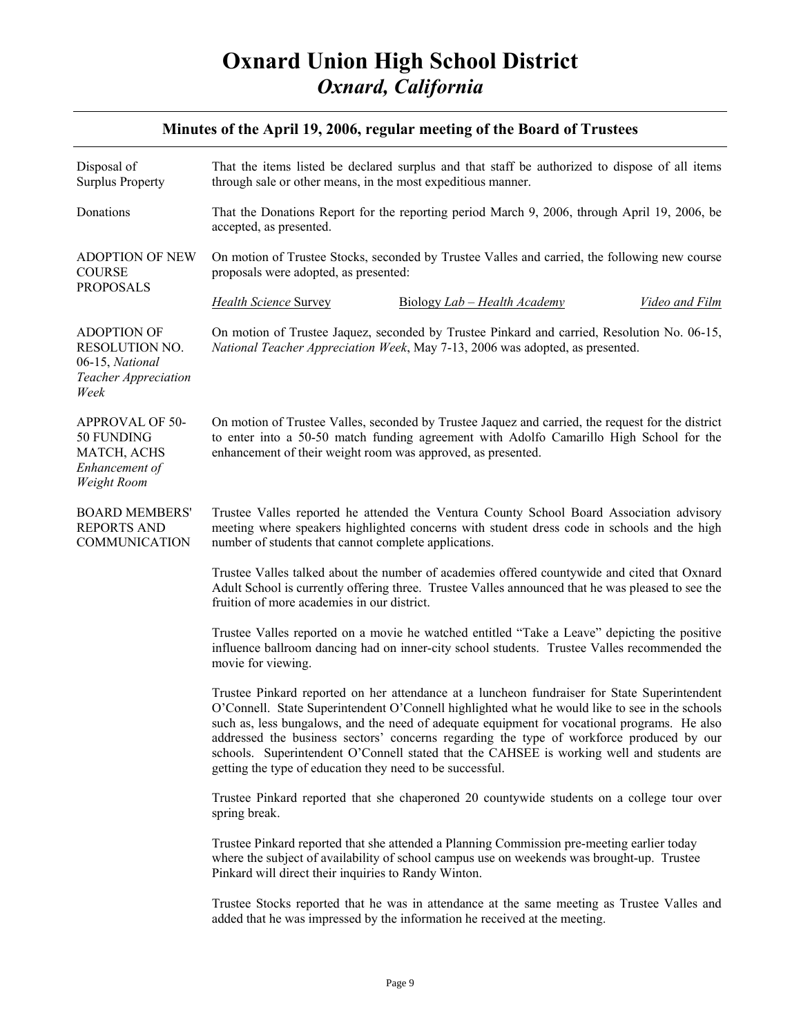| Disposal of<br><b>Surplus Property</b>                                                  | That the items listed be declared surplus and that staff be authorized to dispose of all items<br>through sale or other means, in the most expeditious manner.                                                                                                                                                                                                                                                                                                                                                                                       |
|-----------------------------------------------------------------------------------------|------------------------------------------------------------------------------------------------------------------------------------------------------------------------------------------------------------------------------------------------------------------------------------------------------------------------------------------------------------------------------------------------------------------------------------------------------------------------------------------------------------------------------------------------------|
| Donations                                                                               | That the Donations Report for the reporting period March 9, 2006, through April 19, 2006, be<br>accepted, as presented.                                                                                                                                                                                                                                                                                                                                                                                                                              |
| <b>ADOPTION OF NEW</b><br><b>COURSE</b><br><b>PROPOSALS</b>                             | On motion of Trustee Stocks, seconded by Trustee Valles and carried, the following new course<br>proposals were adopted, as presented:                                                                                                                                                                                                                                                                                                                                                                                                               |
|                                                                                         | <b>Health Science Survey</b><br>Biology Lab - Health Academy<br><b>Video and Film</b>                                                                                                                                                                                                                                                                                                                                                                                                                                                                |
| <b>ADOPTION OF</b><br>RESOLUTION NO.<br>06-15, National<br>Teacher Appreciation<br>Week | On motion of Trustee Jaquez, seconded by Trustee Pinkard and carried, Resolution No. 06-15,<br>National Teacher Appreciation Week, May 7-13, 2006 was adopted, as presented.                                                                                                                                                                                                                                                                                                                                                                         |
| APPROVAL OF 50-<br>50 FUNDING<br>MATCH, ACHS<br>Enhancement of<br>Weight Room           | On motion of Trustee Valles, seconded by Trustee Jaquez and carried, the request for the district<br>to enter into a 50-50 match funding agreement with Adolfo Camarillo High School for the<br>enhancement of their weight room was approved, as presented.                                                                                                                                                                                                                                                                                         |
| <b>BOARD MEMBERS'</b><br><b>REPORTS AND</b><br><b>COMMUNICATION</b>                     | Trustee Valles reported he attended the Ventura County School Board Association advisory<br>meeting where speakers highlighted concerns with student dress code in schools and the high<br>number of students that cannot complete applications.                                                                                                                                                                                                                                                                                                     |
|                                                                                         | Trustee Valles talked about the number of academies offered countywide and cited that Oxnard<br>Adult School is currently offering three. Trustee Valles announced that he was pleased to see the<br>fruition of more academies in our district.                                                                                                                                                                                                                                                                                                     |
|                                                                                         | Trustee Valles reported on a movie he watched entitled "Take a Leave" depicting the positive<br>influence ballroom dancing had on inner-city school students. Trustee Valles recommended the<br>movie for viewing.                                                                                                                                                                                                                                                                                                                                   |
|                                                                                         | Trustee Pinkard reported on her attendance at a luncheon fundraiser for State Superintendent<br>O'Connell. State Superintendent O'Connell highlighted what he would like to see in the schools<br>such as, less bungalows, and the need of adequate equipment for vocational programs. He also<br>addressed the business sectors' concerns regarding the type of workforce produced by our<br>schools. Superintendent O'Connell stated that the CAHSEE is working well and students are<br>getting the type of education they need to be successful. |
|                                                                                         | Trustee Pinkard reported that she chaperoned 20 countywide students on a college tour over<br>spring break.                                                                                                                                                                                                                                                                                                                                                                                                                                          |
|                                                                                         | Trustee Pinkard reported that she attended a Planning Commission pre-meeting earlier today<br>where the subject of availability of school campus use on weekends was brought-up. Trustee<br>Pinkard will direct their inquiries to Randy Winton.                                                                                                                                                                                                                                                                                                     |
|                                                                                         | Trustee Stocks reported that he was in attendance at the same meeting as Trustee Valles and<br>added that he was impressed by the information he received at the meeting.                                                                                                                                                                                                                                                                                                                                                                            |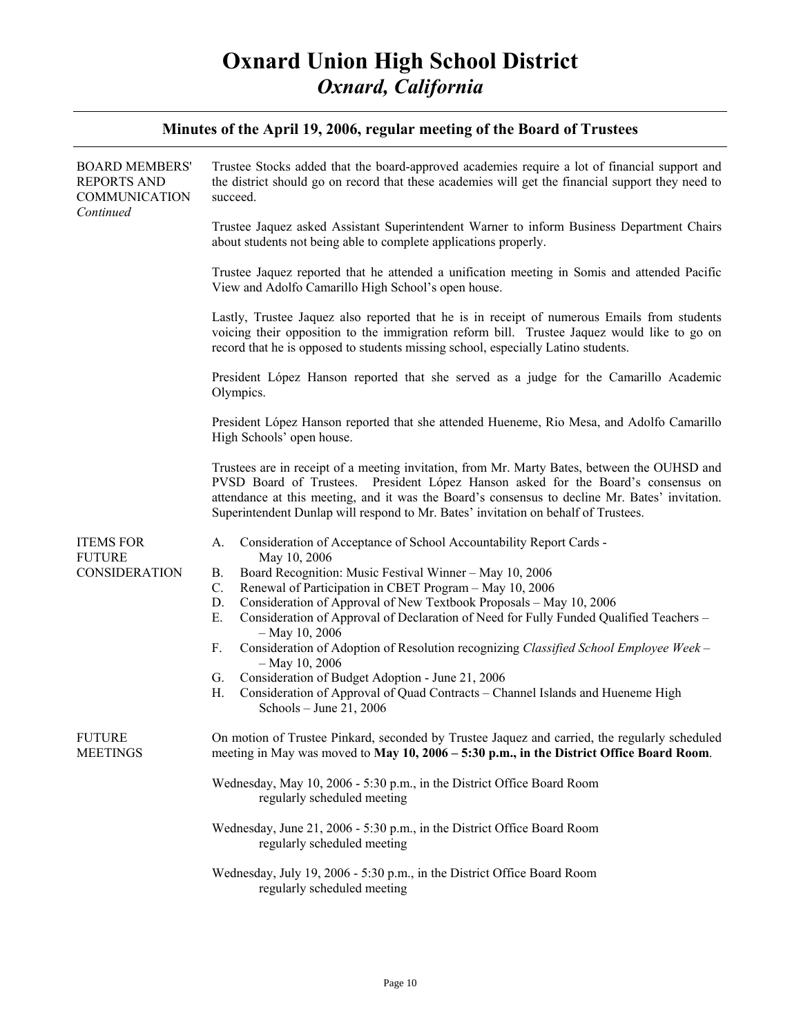| <b>BOARD MEMBERS'</b><br><b>REPORTS AND</b><br>COMMUNICATION<br>Continued | Trustee Stocks added that the board-approved academies require a lot of financial support and<br>the district should go on record that these academies will get the financial support they need to<br>succeed.                                                                                                                                                                                                                                                                                                                                                                                                                                                                                                              |
|---------------------------------------------------------------------------|-----------------------------------------------------------------------------------------------------------------------------------------------------------------------------------------------------------------------------------------------------------------------------------------------------------------------------------------------------------------------------------------------------------------------------------------------------------------------------------------------------------------------------------------------------------------------------------------------------------------------------------------------------------------------------------------------------------------------------|
|                                                                           | Trustee Jaquez asked Assistant Superintendent Warner to inform Business Department Chairs<br>about students not being able to complete applications properly.                                                                                                                                                                                                                                                                                                                                                                                                                                                                                                                                                               |
|                                                                           | Trustee Jaquez reported that he attended a unification meeting in Somis and attended Pacific<br>View and Adolfo Camarillo High School's open house.                                                                                                                                                                                                                                                                                                                                                                                                                                                                                                                                                                         |
|                                                                           | Lastly, Trustee Jaquez also reported that he is in receipt of numerous Emails from students<br>voicing their opposition to the immigration reform bill. Trustee Jaquez would like to go on<br>record that he is opposed to students missing school, especially Latino students.                                                                                                                                                                                                                                                                                                                                                                                                                                             |
|                                                                           | President López Hanson reported that she served as a judge for the Camarillo Academic<br>Olympics.                                                                                                                                                                                                                                                                                                                                                                                                                                                                                                                                                                                                                          |
|                                                                           | President López Hanson reported that she attended Hueneme, Rio Mesa, and Adolfo Camarillo<br>High Schools' open house.                                                                                                                                                                                                                                                                                                                                                                                                                                                                                                                                                                                                      |
|                                                                           | Trustees are in receipt of a meeting invitation, from Mr. Marty Bates, between the OUHSD and<br>PVSD Board of Trustees. President López Hanson asked for the Board's consensus on<br>attendance at this meeting, and it was the Board's consensus to decline Mr. Bates' invitation.<br>Superintendent Dunlap will respond to Mr. Bates' invitation on behalf of Trustees.                                                                                                                                                                                                                                                                                                                                                   |
| <b>ITEMS FOR</b><br><b>FUTURE</b><br>CONSIDERATION                        | Consideration of Acceptance of School Accountability Report Cards -<br>А.<br>May 10, 2006<br>Board Recognition: Music Festival Winner - May 10, 2006<br>В.<br>C.<br>Renewal of Participation in CBET Program - May 10, 2006<br>Consideration of Approval of New Textbook Proposals - May 10, 2006<br>D.<br>Ε.<br>Consideration of Approval of Declaration of Need for Fully Funded Qualified Teachers -<br>$-$ May 10, 2006<br>Consideration of Adoption of Resolution recognizing Classified School Employee Week -<br>F.<br>$-$ May 10, 2006<br>Consideration of Budget Adoption - June 21, 2006<br>G.<br>Consideration of Approval of Quad Contracts - Channel Islands and Hueneme High<br>Н.<br>Schools - June 21, 2006 |
| <b>FUTURE</b><br><b>MEETINGS</b>                                          | On motion of Trustee Pinkard, seconded by Trustee Jaquez and carried, the regularly scheduled<br>meeting in May was moved to May 10, 2006 – 5:30 p.m., in the District Office Board Room.                                                                                                                                                                                                                                                                                                                                                                                                                                                                                                                                   |
|                                                                           | Wednesday, May 10, 2006 - 5:30 p.m., in the District Office Board Room<br>regularly scheduled meeting                                                                                                                                                                                                                                                                                                                                                                                                                                                                                                                                                                                                                       |
|                                                                           | Wednesday, June 21, 2006 - 5:30 p.m., in the District Office Board Room<br>regularly scheduled meeting                                                                                                                                                                                                                                                                                                                                                                                                                                                                                                                                                                                                                      |
|                                                                           | Wednesday, July 19, 2006 - 5:30 p.m., in the District Office Board Room<br>regularly scheduled meeting                                                                                                                                                                                                                                                                                                                                                                                                                                                                                                                                                                                                                      |